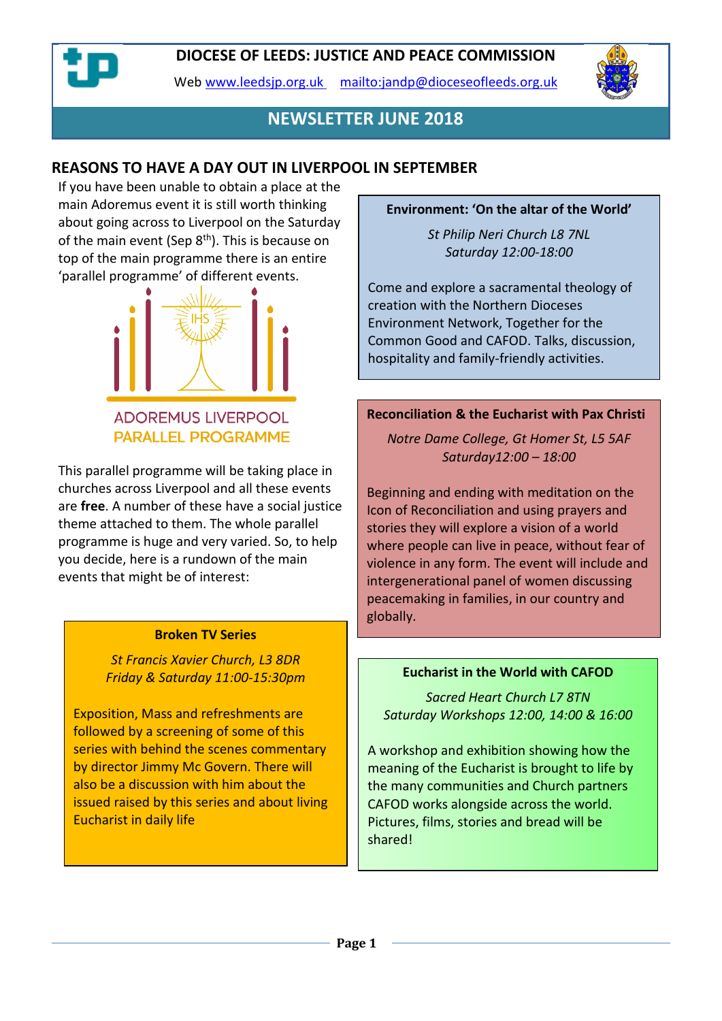Web [www.leedsjp.org.uk](http://www.leedsjp.org.uk/) <mailto:jandp@dioceseofleeds.org.uk>



# **NEWSLETTER JUNE 2018**

## **REASONS TO HAVE A DAY OUT IN LIVERPOOL IN SEPTEMBER**

If you have been unable to obtain a place at the main Adoremus event it is still worth thinking about going across to Liverpool on the Saturday of the main event (Sep  $8<sup>th</sup>$ ). This is because on top of the main programme there is an entire 'parallel programme' of different events.



## **ADOREMUS LIVERPOOL PARALLEL PROGRAMME**

This parallel programme will be taking place in churches across Liverpool and all these events are **free**. A number of these have a social justice theme attached to them. The whole parallel programme is huge and very varied. So, to help you decide, here is a rundown of the main events that might be of interest:

#### **Broken TV Series**

*St Francis Xavier Church, L3 8DR Friday & Saturday 11:00-15:30pm*

Exposition, Mass and refreshments are followed by a screening of some of this series with behind the scenes commentary by director Jimmy Mc Govern. There will also be a discussion with him about the issued raised by this series and about living Eucharist in daily life

#### **Environment: 'On the altar of the World'**

*St Philip Neri Church L8 7NL Saturday 12:00-18:00*

Come and explore a sacramental theology of creation with the Northern Dioceses Environment Network, Together for the Common Good and CAFOD. Talks, discussion, hospitality and family-friendly activities.

#### **Reconciliation & the Eucharist with Pax Christi**

*Notre Dame College, Gt Homer St, L5 5AF Saturday12:00 – 18:00*

Beginning and ending with meditation on the Icon of Reconciliation and using prayers and stories they will explore a vision of a world where people can live in peace, without fear of violence in any form. The event will include and intergenerational panel of women discussing peacemaking in families, in our country and globally.

#### **Eucharist in the World with CAFOD**

*Sacred Heart Church L7 8TN Saturday Workshops 12:00, 14:00 & 16:00*

A workshop and exhibition showing how the meaning of the Eucharist is brought to life by the many communities and Church partners CAFOD works alongside across the world. Pictures, films, stories and bread will be shared!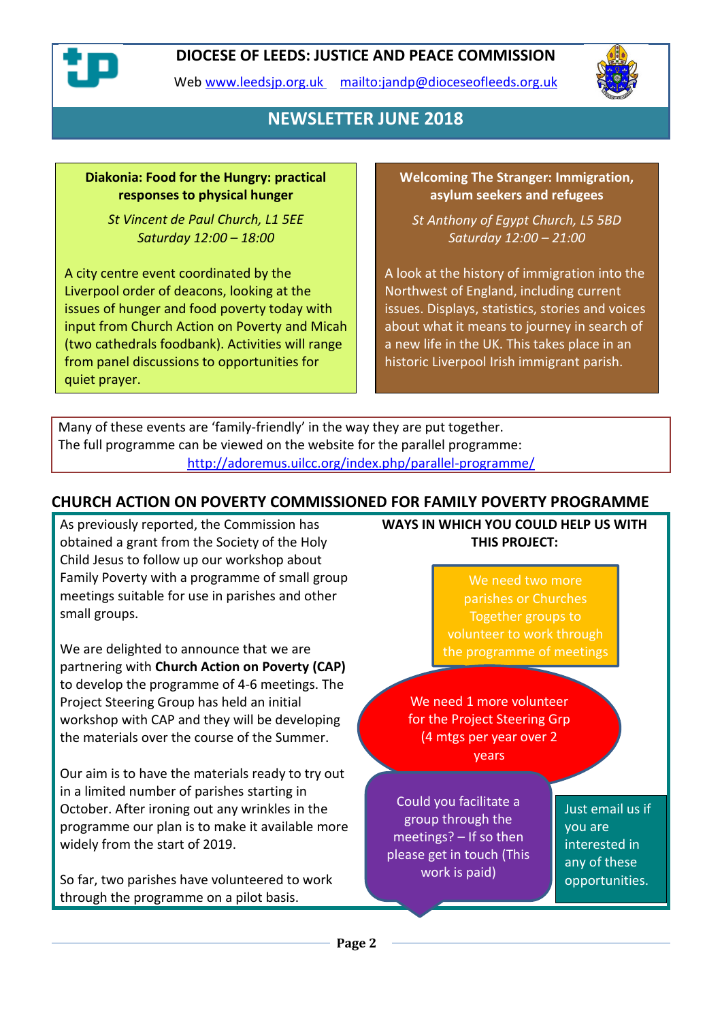

Web [www.leedsjp.org.uk](http://www.leedsjp.org.uk/) <mailto:jandp@dioceseofleeds.org.uk>



# **NEWSLETTER JUNE 2018**

### **Diakonia: Food for the Hungry: practical responses to physical hunger**

*St Vincent de Paul Church, L1 5EE Saturday 12:00 – 18:00*

A city centre event coordinated by the Liverpool order of deacons, looking at the issues of hunger and food poverty today with input from Church Action on Poverty and Micah (two cathedrals foodbank). Activities will range from panel discussions to opportunities for quiet prayer.

**Welcoming The Stranger: Immigration, asylum seekers and refugees**

*St Anthony of Egypt Church, L5 5BD Saturday 12:00 – 21:00*

A look at the history of immigration into the Northwest of England, including current issues. Displays, statistics, stories and voices about what it means to journey in search of a new life in the UK. This takes place in an historic Liverpool Irish immigrant parish.

Many of these events are 'family-friendly' in the way they are put together. The full programme can be viewed on the website for the parallel programme: <http://adoremus.uilcc.org/index.php/parallel-programme/>

## **CHURCH ACTION ON POVERTY COMMISSIONED FOR FAMILY POVERTY PROGRAMME**

As previously reported, the Commission has obtained a grant from the Society of the Holy Child Jesus to follow up our workshop about Family Poverty with a programme of small group meetings suitable for use in parishes and other small groups.

We are delighted to announce that we are partnering with **Church Action on Poverty (CAP)** to develop the programme of 4-6 meetings. The Project Steering Group has held an initial workshop with CAP and they will be developing the materials over the course of the Summer.

Our aim is to have the materials ready to try out in a limited number of parishes starting in October. After ironing out any wrinkles in the programme our plan is to make it available more widely from the start of 2019.

So far, two parishes have volunteered to work through the programme on a pilot basis.

**WAYS IN WHICH YOU COULD HELP US WITH THIS PROJECT:**

> We need two more parishes or Churches Together groups to volunteer to work through the programme of meetings

We need 1 more volunteer for the Project Steering Grp (4 mtgs per year over 2 years

Could you facilitate a group through the meetings? – If so then please get in touch (This work is paid)

Just email us if you are interested in any of these opportunities.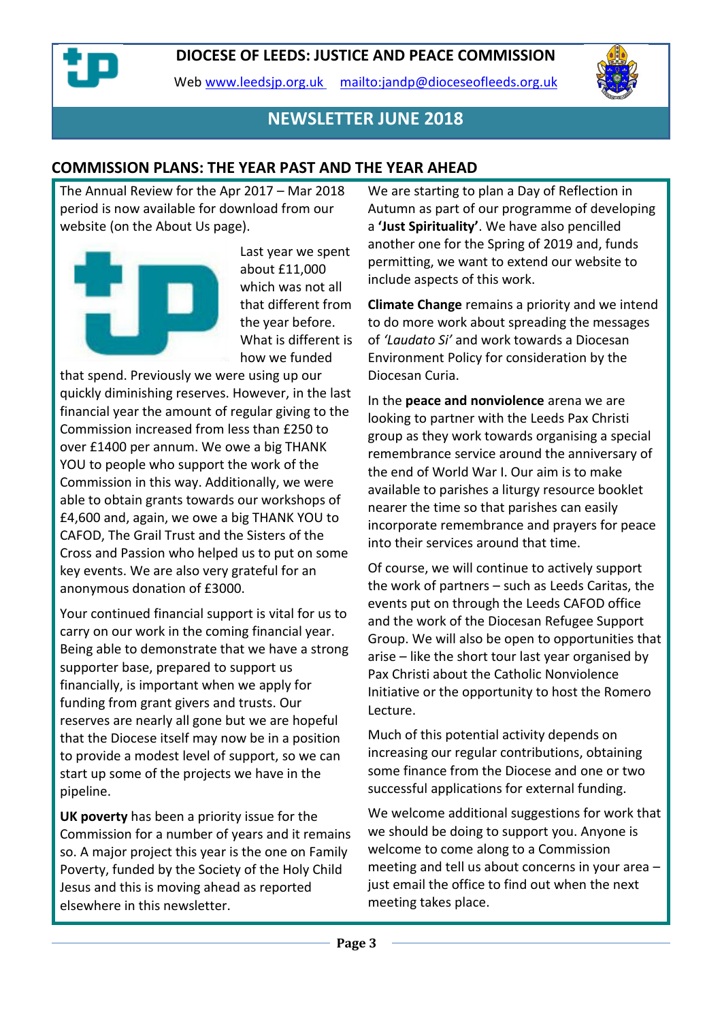Web [www.leedsjp.org.uk](http://www.leedsjp.org.uk/) <mailto:jandp@dioceseofleeds.org.uk>



## **NEWSLETTER JUNE 2018**

## **COMMISSION PLANS: THE YEAR PAST AND THE YEAR AHEAD**

The Annual Review for the Apr 2017 – Mar 2018 period is now available for download from our website (on the About Us page).



Last year we spent about £11,000 which was not all that different from the year before. What is different is how we funded

that spend. Previously we were using up our quickly diminishing reserves. However, in the last financial year the amount of regular giving to the Commission increased from less than £250 to over £1400 per annum. We owe a big THANK YOU to people who support the work of the Commission in this way. Additionally, we were able to obtain grants towards our workshops of £4,600 and, again, we owe a big THANK YOU to CAFOD, The Grail Trust and the Sisters of the Cross and Passion who helped us to put on some key events. We are also very grateful for an anonymous donation of £3000.

Your continued financial support is vital for us to carry on our work in the coming financial year. Being able to demonstrate that we have a strong supporter base, prepared to support us financially, is important when we apply for funding from grant givers and trusts. Our reserves are nearly all gone but we are hopeful that the Diocese itself may now be in a position to provide a modest level of support, so we can start up some of the projects we have in the pipeline.

**UK poverty** has been a priority issue for the Commission for a number of years and it remains so. A major project this year is the one on Family Poverty, funded by the Society of the Holy Child Jesus and this is moving ahead as reported elsewhere in this newsletter.

We are starting to plan a Day of Reflection in Autumn as part of our programme of developing a **'Just Spirituality'**. We have also pencilled another one for the Spring of 2019 and, funds permitting, we want to extend our website to include aspects of this work.

**Climate Change** remains a priority and we intend to do more work about spreading the messages of *'Laudato Si'* and work towards a Diocesan Environment Policy for consideration by the Diocesan Curia.

In the **peace and nonviolence** arena we are looking to partner with the Leeds Pax Christi group as they work towards organising a special remembrance service around the anniversary of the end of World War I. Our aim is to make available to parishes a liturgy resource booklet nearer the time so that parishes can easily incorporate remembrance and prayers for peace into their services around that time.

Of course, we will continue to actively support the work of partners – such as Leeds Caritas, the events put on through the Leeds CAFOD office and the work of the Diocesan Refugee Support Group. We will also be open to opportunities that arise – like the short tour last year organised by Pax Christi about the Catholic Nonviolence Initiative or the opportunity to host the Romero Lecture.

Much of this potential activity depends on increasing our regular contributions, obtaining some finance from the Diocese and one or two successful applications for external funding.

We welcome additional suggestions for work that we should be doing to support you. Anyone is welcome to come along to a Commission meeting and tell us about concerns in your area – just email the office to find out when the next meeting takes place.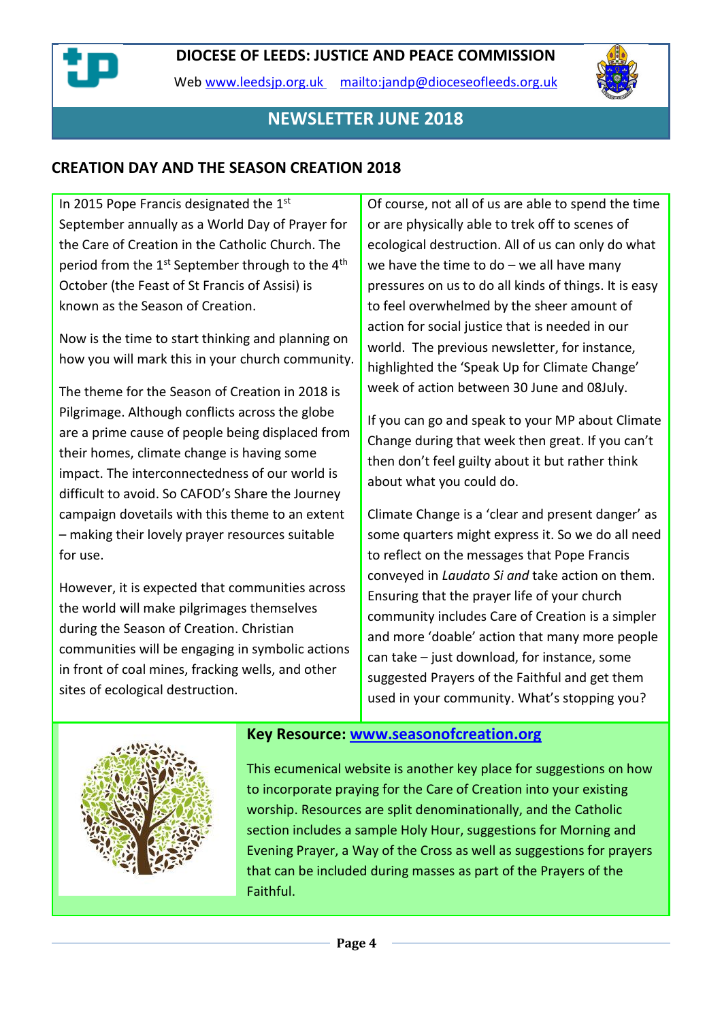

Web [www.leedsjp.org.uk](http://www.leedsjp.org.uk/) <mailto:jandp@dioceseofleeds.org.uk>



# **NEWSLETTER JUNE 2018**

## **CREATION DAY AND THE SEASON CREATION 2018**

In 2015 Pope Francis designated the 1st September annually as a World Day of Prayer for the Care of Creation in the Catholic Church. The period from the 1<sup>st</sup> September through to the 4<sup>th</sup> October (the Feast of St Francis of Assisi) is known as the Season of Creation.

Now is the time to start thinking and planning on how you will mark this in your church community.

The theme for the Season of Creation in 2018 is Pilgrimage. Although conflicts across the globe are a prime cause of people being displaced from their homes, climate change is having some impact. The interconnectedness of our world is difficult to avoid. So CAFOD's Share the Journey campaign dovetails with this theme to an extent – making their lovely prayer resources suitable for use.

However, it is expected that communities across the world will make pilgrimages themselves during the Season of Creation. Christian communities will be engaging in symbolic actions in front of coal mines, fracking wells, and other sites of ecological destruction.

Of course, not all of us are able to spend the time or are physically able to trek off to scenes of ecological destruction. All of us can only do what we have the time to do  $-$  we all have many pressures on us to do all kinds of things. It is easy to feel overwhelmed by the sheer amount of action for social justice that is needed in our world. The previous newsletter, for instance, highlighted the 'Speak Up for Climate Change' week of action between 30 June and 08July.

If you can go and speak to your MP about Climate Change during that week then great. If you can't then don't feel guilty about it but rather think about what you could do.

Climate Change is a 'clear and present danger' as some quarters might express it. So we do all need to reflect on the messages that Pope Francis conveyed in *Laudato Si and* take action on them. Ensuring that the prayer life of your church community includes Care of Creation is a simpler and more 'doable' action that many more people can take – just download, for instance, some suggested Prayers of the Faithful and get them used in your community. What's stopping you?



## **Key Resource: [www.seasonofcreation.org](https://dioceseofleeds-my.sharepoint.com/personal/jandp_dioceseofleeds_org_uk/Documents/Newsletters/2018-newsletters/2018-06/www.seasonofcreation.org)**

This ecumenical website is another key place for suggestions on how to incorporate praying for the Care of Creation into your existing worship. Resources are split denominationally, and the Catholic section includes a sample Holy Hour, suggestions for Morning and Evening Prayer, a Way of the Cross as well as suggestions for prayers that can be included during masses as part of the Prayers of the Faithful.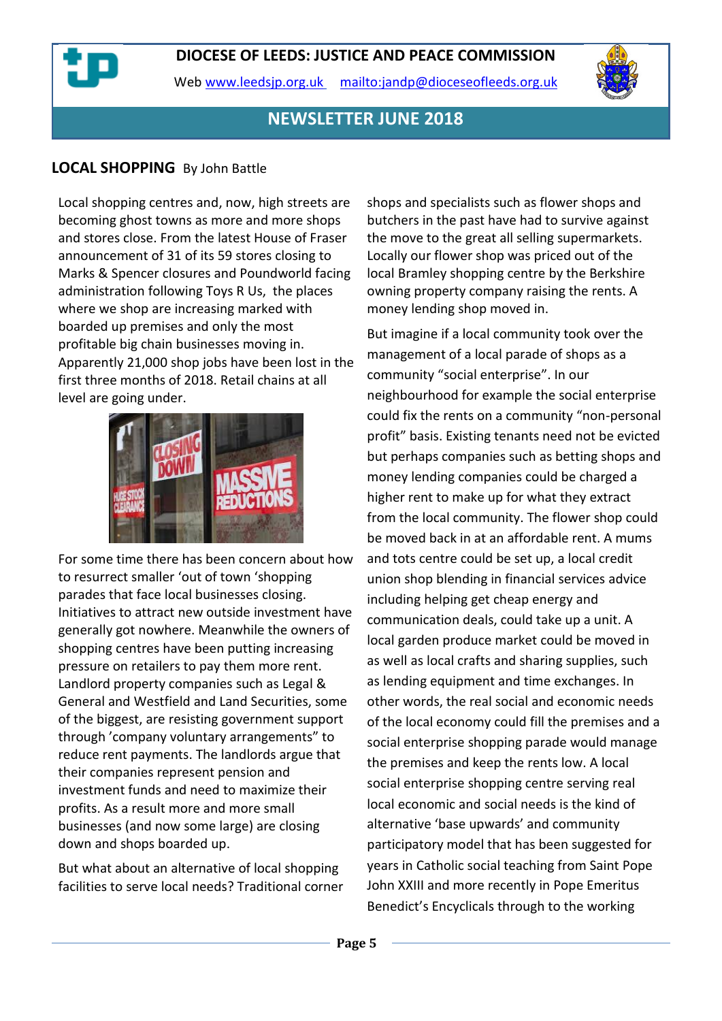Web [www.leedsjp.org.uk](http://www.leedsjp.org.uk/) <mailto:jandp@dioceseofleeds.org.uk>



# **NEWSLETTER JUNE 2018**

## **LOCAL SHOPPING** By John Battle

Local shopping centres and, now, high streets are becoming ghost towns as more and more shops and stores close. From the latest House of Fraser announcement of 31 of its 59 stores closing to Marks & Spencer closures and Poundworld facing administration following Toys R Us, the places where we shop are increasing marked with boarded up premises and only the most profitable big chain businesses moving in. Apparently 21,000 shop jobs have been lost in the first three months of 2018. Retail chains at all level are going under.



For some time there has been concern about how to resurrect smaller 'out of town 'shopping parades that face local businesses closing. Initiatives to attract new outside investment have generally got nowhere. Meanwhile the owners of shopping centres have been putting increasing pressure on retailers to pay them more rent. Landlord property companies such as Legal & General and Westfield and Land Securities, some of the biggest, are resisting government support through 'company voluntary arrangements" to reduce rent payments. The landlords argue that their companies represent pension and investment funds and need to maximize their profits. As a result more and more small businesses (and now some large) are closing down and shops boarded up.

But what about an alternative of local shopping facilities to serve local needs? Traditional corner shops and specialists such as flower shops and butchers in the past have had to survive against the move to the great all selling supermarkets. Locally our flower shop was priced out of the local Bramley shopping centre by the Berkshire owning property company raising the rents. A money lending shop moved in.

But imagine if a local community took over the management of a local parade of shops as a community "social enterprise". In our neighbourhood for example the social enterprise could fix the rents on a community "non-personal profit" basis. Existing tenants need not be evicted but perhaps companies such as betting shops and money lending companies could be charged a higher rent to make up for what they extract from the local community. The flower shop could be moved back in at an affordable rent. A mums and tots centre could be set up, a local credit union shop blending in financial services advice including helping get cheap energy and communication deals, could take up a unit. A local garden produce market could be moved in as well as local crafts and sharing supplies, such as lending equipment and time exchanges. In other words, the real social and economic needs of the local economy could fill the premises and a social enterprise shopping parade would manage the premises and keep the rents low. A local social enterprise shopping centre serving real local economic and social needs is the kind of alternative 'base upwards' and community participatory model that has been suggested for years in Catholic social teaching from Saint Pope John XXIII and more recently in Pope Emeritus Benedict's Encyclicals through to the working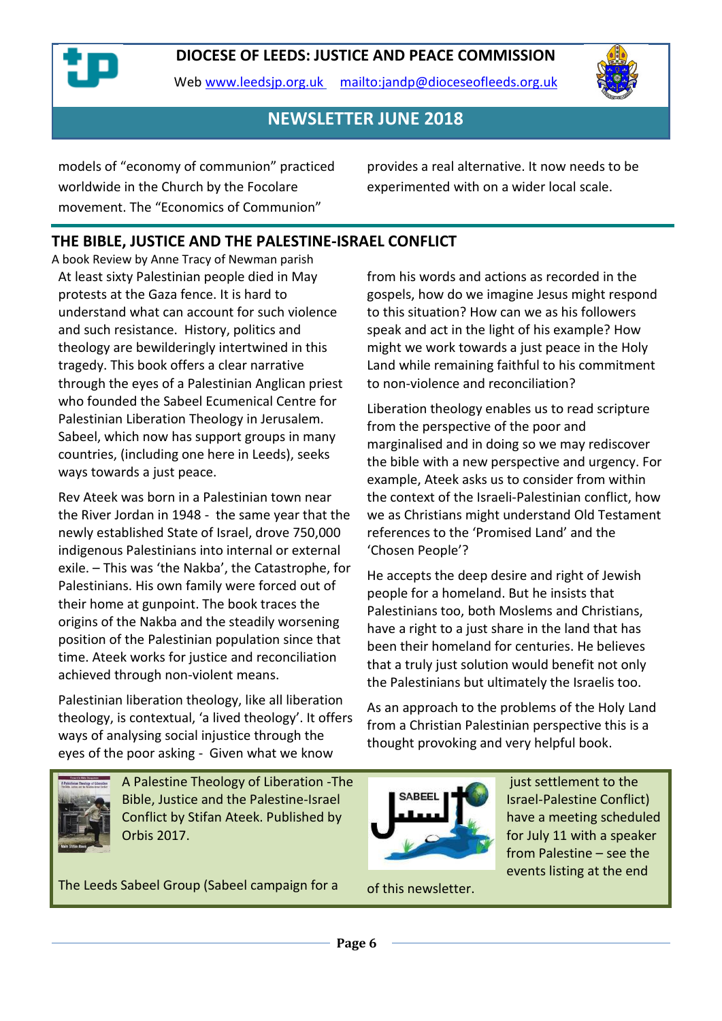Web [www.leedsjp.org.uk](http://www.leedsjp.org.uk/) <mailto:jandp@dioceseofleeds.org.uk>



**NEWSLETTER JUNE 2018**

models of "economy of communion" practiced worldwide in the Church by the Focolare movement. The "Economics of Communion"

provides a real alternative. It now needs to be experimented with on a wider local scale.

# **THE BIBLE, JUSTICE AND THE PALESTINE-ISRAEL CONFLICT**

A book Review by Anne Tracy of Newman parish At least sixty Palestinian people died in May protests at the Gaza fence. It is hard to understand what can account for such violence and such resistance. History, politics and theology are bewilderingly intertwined in this tragedy. This book offers a clear narrative through the eyes of a Palestinian Anglican priest who founded the Sabeel Ecumenical Centre for Palestinian Liberation Theology in Jerusalem. Sabeel, which now has support groups in many countries, (including one here in Leeds), seeks ways towards a just peace.

Rev Ateek was born in a Palestinian town near the River Jordan in 1948 - the same year that the newly established State of Israel, drove 750,000 indigenous Palestinians into internal or external exile. – This was 'the Nakba', the Catastrophe, for Palestinians. His own family were forced out of their home at gunpoint. The book traces the origins of the Nakba and the steadily worsening position of the Palestinian population since that time. Ateek works for justice and reconciliation achieved through non-violent means.

Palestinian liberation theology, like all liberation theology, is contextual, 'a lived theology'. It offers ways of analysing social injustice through the eyes of the poor asking - Given what we know

from his words and actions as recorded in the gospels, how do we imagine Jesus might respond to this situation? How can we as his followers speak and act in the light of his example? How might we work towards a just peace in the Holy Land while remaining faithful to his commitment to non-violence and reconciliation?

Liberation theology enables us to read scripture from the perspective of the poor and marginalised and in doing so we may rediscover the bible with a new perspective and urgency. For example, Ateek asks us to consider from within the context of the Israeli-Palestinian conflict, how we as Christians might understand Old Testament references to the 'Promised Land' and the 'Chosen People'?

He accepts the deep desire and right of Jewish people for a homeland. But he insists that Palestinians too, both Moslems and Christians, have a right to a just share in the land that has been their homeland for centuries. He believes that a truly just solution would benefit not only the Palestinians but ultimately the Israelis too.

As an approach to the problems of the Holy Land from a Christian Palestinian perspective this is a thought provoking and very helpful book.



just settlement to the Israel-Palestine Conflict) have a meeting scheduled for July 11 with a speaker from Palestine – see the events listing at the end

A Palestine Theology of Liberation -The Bible, Justice and the Palestine-Israel Conflict by Stifan Ateek. Published by Orbis 2017.

The Leeds Sabeel Group (Sabeel campaign for a

of this newsletter.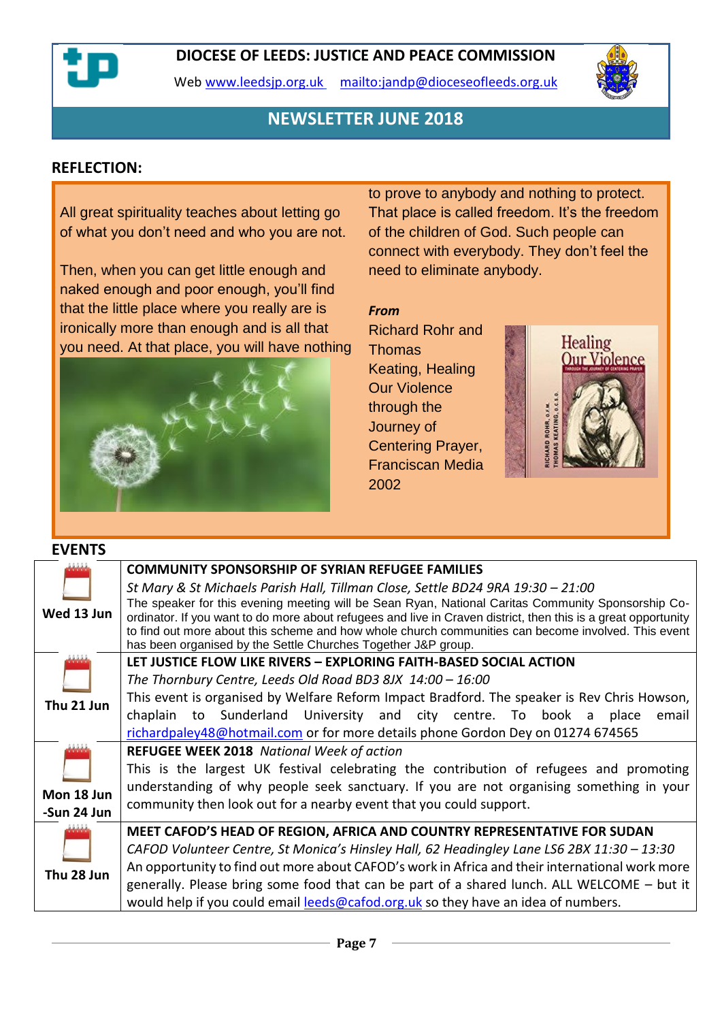

Web [www.leedsjp.org.uk](http://www.leedsjp.org.uk/) <mailto:jandp@dioceseofleeds.org.uk>



## **NEWSLETTER JUNE 2018**

### **REFLECTION:**

All great spirituality teaches about letting go of what you don't need and who you are not.

Then, when you can get little enough and naked enough and poor enough, you'll find that the little place where you really are is ironically more than enough and is all that you need. At that place, you will have nothing



to prove to anybody and nothing to protect. That place is called freedom. It's the freedom of the children of God. Such people can connect with everybody. They don't feel the need to eliminate anybody.

#### *From*

[Richard Rohr](https://www.goodreads.com/author/show/7919.Richard_Rohr) and **Thomas** Keating, [Healing](https://www.goodreads.com/work/quotes/16221089)  [Our Violence](https://www.goodreads.com/work/quotes/16221089)  [through the](https://www.goodreads.com/work/quotes/16221089)  [Journey of](https://www.goodreads.com/work/quotes/16221089)  [Centering Prayer,](https://www.goodreads.com/work/quotes/16221089) Franciscan Media 2002



#### **EVENTS**

|             | <b>COMMUNITY SPONSORSHIP OF SYRIAN REFUGEE FAMILIES</b>                                                                                                                                                               |  |  |
|-------------|-----------------------------------------------------------------------------------------------------------------------------------------------------------------------------------------------------------------------|--|--|
|             | St Mary & St Michaels Parish Hall, Tillman Close, Settle BD24 9RA 19:30 - 21:00                                                                                                                                       |  |  |
| Wed 13 Jun  | The speaker for this evening meeting will be Sean Ryan, National Caritas Community Sponsorship Co-                                                                                                                    |  |  |
|             | ordinator. If you want to do more about refugees and live in Craven district, then this is a great opportunity<br>to find out more about this scheme and how whole church communities can become involved. This event |  |  |
|             | has been organised by the Settle Churches Together J&P group.                                                                                                                                                         |  |  |
|             | LET JUSTICE FLOW LIKE RIVERS - EXPLORING FAITH-BASED SOCIAL ACTION                                                                                                                                                    |  |  |
| Thu 21 Jun  | The Thornbury Centre, Leeds Old Road BD3 8JX $14:00 - 16:00$                                                                                                                                                          |  |  |
|             | This event is organised by Welfare Reform Impact Bradford. The speaker is Rev Chris Howson,                                                                                                                           |  |  |
|             | chaplain to Sunderland University and city centre. To book a place<br>email                                                                                                                                           |  |  |
|             | richardpaley48@hotmail.com or for more details phone Gordon Dey on 01274 674565                                                                                                                                       |  |  |
|             | <b>REFUGEE WEEK 2018</b> National Week of action<br>This is the largest UK festival celebrating the contribution of refugees and promoting                                                                            |  |  |
|             |                                                                                                                                                                                                                       |  |  |
| Mon 18 Jun  | understanding of why people seek sanctuary. If you are not organising something in your                                                                                                                               |  |  |
|             | community then look out for a nearby event that you could support.                                                                                                                                                    |  |  |
| -Sun 24 Jun |                                                                                                                                                                                                                       |  |  |
|             | MEET CAFOD'S HEAD OF REGION, AFRICA AND COUNTRY REPRESENTATIVE FOR SUDAN                                                                                                                                              |  |  |
|             | CAFOD Volunteer Centre, St Monica's Hinsley Hall, 62 Headingley Lane LS6 2BX 11:30 - 13:30                                                                                                                            |  |  |
| Thu 28 Jun  | An opportunity to find out more about CAFOD's work in Africa and their international work more                                                                                                                        |  |  |
|             | generally. Please bring some food that can be part of a shared lunch. ALL WELCOME – but it                                                                                                                            |  |  |
|             | would help if you could email leeds@cafod.org.uk so they have an idea of numbers.                                                                                                                                     |  |  |